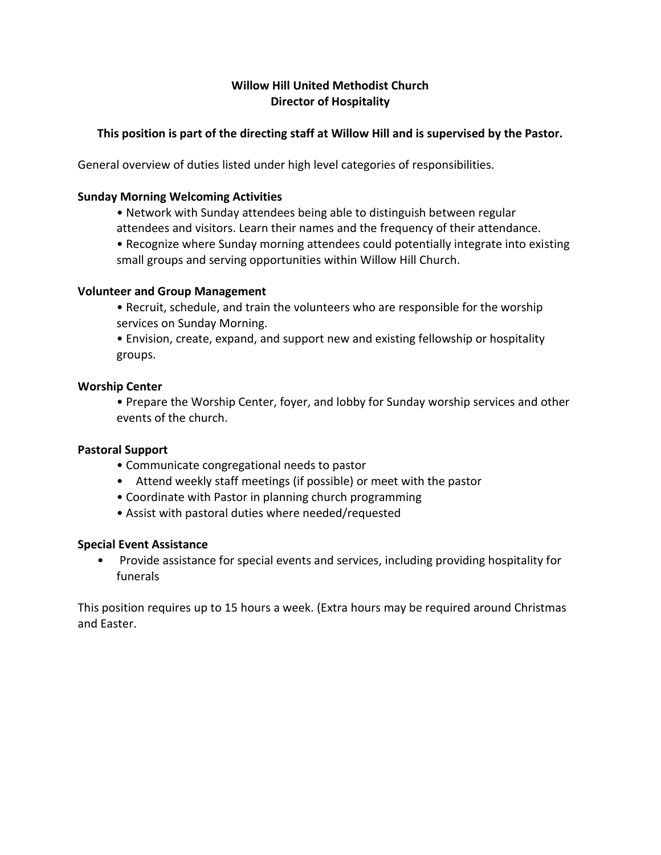# **Willow Hill United Methodist Church Director of Hospitality**

# **This position is part of the directing staff at Willow Hill and is supervised by the Pastor.**

General overview of duties listed under high level categories of responsibilities.

### **Sunday Morning Welcoming Activities**

• Network with Sunday attendees being able to distinguish between regular

attendees and visitors. Learn their names and the frequency of their attendance.

• Recognize where Sunday morning attendees could potentially integrate into existing small groups and serving opportunities within Willow Hill Church.

## **Volunteer and Group Management**

• Recruit, schedule, and train the volunteers who are responsible for the worship services on Sunday Morning.

• Envision, create, expand, and support new and existing fellowship or hospitality groups.

## **Worship Center**

• Prepare the Worship Center, foyer, and lobby for Sunday worship services and other events of the church.

#### **Pastoral Support**

- Communicate congregational needs to pastor
- Attend weekly staff meetings (if possible) or meet with the pastor
- Coordinate with Pastor in planning church programming
- Assist with pastoral duties where needed/requested

#### **Special Event Assistance**

• Provide assistance for special events and services, including providing hospitality for funerals

This position requires up to 15 hours a week. (Extra hours may be required around Christmas and Easter.